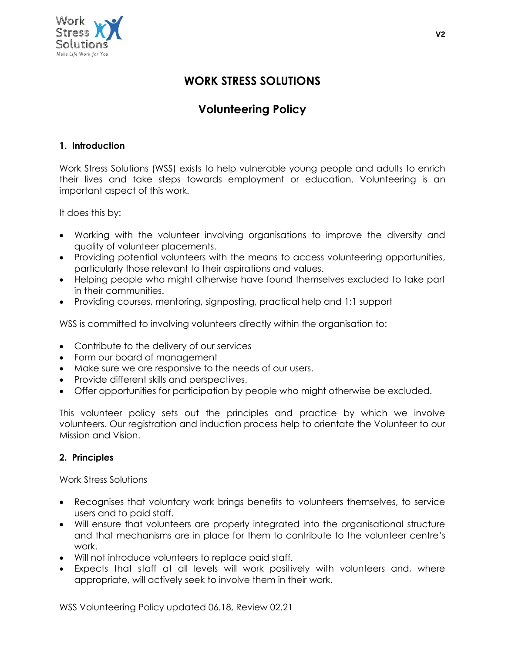

# **WORK STRESS SOLUTIONS**

# **Volunteering Policy**

### **1. Introduction**

Work Stress Solutions (WSS) exists to help vulnerable young people and adults to enrich their lives and take steps towards employment or education. Volunteering is an important aspect of this work.

It does this by:

- Working with the volunteer involving organisations to improve the diversity and quality of volunteer placements.
- Providing potential volunteers with the means to access volunteering opportunities, particularly those relevant to their aspirations and values.
- Helping people who might otherwise have found themselves excluded to take part in their communities.
- Providing courses, mentoring, signposting, practical help and 1:1 support

WSS is committed to involving volunteers directly within the organisation to:

- Contribute to the delivery of our services
- Form our board of management
- Make sure we are responsive to the needs of our users.
- Provide different skills and perspectives.
- Offer opportunities for participation by people who might otherwise be excluded.

This volunteer policy sets out the principles and practice by which we involve volunteers. Our registration and induction process help to orientate the Volunteer to our Mission and Vision.

#### **2. Principles**

Work Stress Solutions

- Recognises that voluntary work brings benefits to volunteers themselves, to service users and to paid staff.
- Will ensure that volunteers are properly integrated into the organisational structure and that mechanisms are in place for them to contribute to the volunteer centre's work.
- Will not introduce volunteers to replace paid staff.
- Expects that staff at all levels will work positively with volunteers and, where appropriate, will actively seek to involve them in their work.

WSS Volunteering Policy updated 06.18, Review 02.21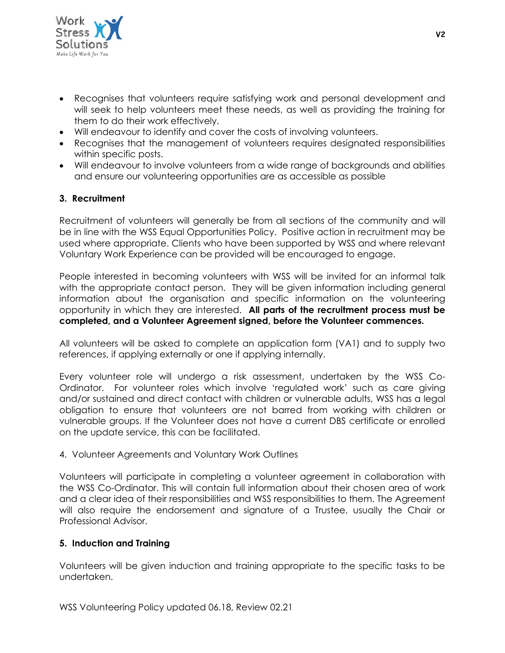

- Recognises that volunteers require satisfying work and personal development and will seek to help volunteers meet these needs, as well as providing the training for them to do their work effectively.
- Will endeavour to identify and cover the costs of involving volunteers.
- Recognises that the management of volunteers requires designated responsibilities within specific posts.
- Will endeavour to involve volunteers from a wide range of backgrounds and abilities and ensure our volunteering opportunities are as accessible as possible

#### **3. Recruitment**

Recruitment of volunteers will generally be from all sections of the community and will be in line with the WSS Equal Opportunities Policy. Positive action in recruitment may be used where appropriate. Clients who have been supported by WSS and where relevant Voluntary Work Experience can be provided will be encouraged to engage.

People interested in becoming volunteers with WSS will be invited for an informal talk with the appropriate contact person. They will be given information including general information about the organisation and specific information on the volunteering opportunity in which they are interested. **All parts of the recruitment process must be completed, and a Volunteer Agreement signed, before the Volunteer commences.**

All volunteers will be asked to complete an application form (VA1) and to supply two references, if applying externally or one if applying internally.

Every volunteer role will undergo a risk assessment, undertaken by the WSS Co-Ordinator. For volunteer roles which involve 'regulated work' such as care giving and/or sustained and direct contact with children or vulnerable adults, WSS has a legal obligation to ensure that volunteers are not barred from working with children or vulnerable groups. If the Volunteer does not have a current DBS certificate or enrolled on the update service, this can be facilitated.

#### 4. Volunteer Agreements and Voluntary Work Outlines

Volunteers will participate in completing a volunteer agreement in collaboration with the WSS Co-Ordinator. This will contain full information about their chosen area of work and a clear idea of their responsibilities and WSS responsibilities to them. The Agreement will also require the endorsement and signature of a Trustee, usually the Chair or Professional Advisor.

#### **5. Induction and Training**

Volunteers will be given induction and training appropriate to the specific tasks to be undertaken.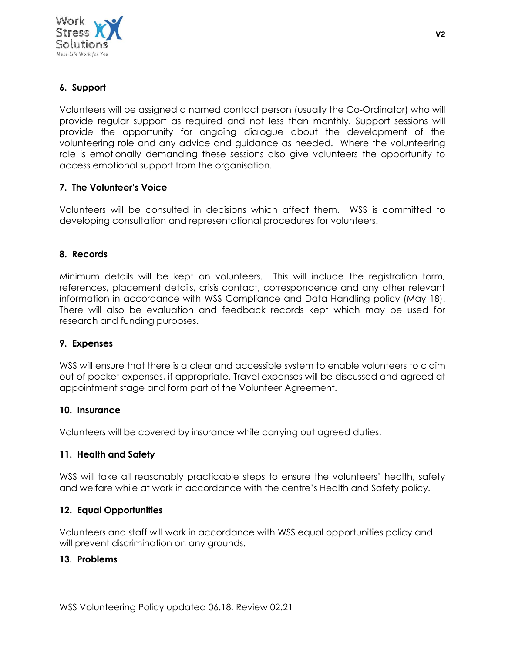

## **6. Support**

Volunteers will be assigned a named contact person (usually the Co-Ordinator) who will provide regular support as required and not less than monthly. Support sessions will provide the opportunity for ongoing dialogue about the development of the volunteering role and any advice and guidance as needed. Where the volunteering role is emotionally demanding these sessions also give volunteers the opportunity to access emotional support from the organisation.

#### **7. The Volunteer's Voice**

Volunteers will be consulted in decisions which affect them. WSS is committed to developing consultation and representational procedures for volunteers.

#### **8. Records**

Minimum details will be kept on volunteers. This will include the registration form, references, placement details, crisis contact, correspondence and any other relevant information in accordance with WSS Compliance and Data Handling policy (May 18). There will also be evaluation and feedback records kept which may be used for research and funding purposes.

#### **9. Expenses**

WSS will ensure that there is a clear and accessible system to enable volunteers to claim out of pocket expenses, if appropriate. Travel expenses will be discussed and agreed at appointment stage and form part of the Volunteer Agreement.

#### **10. Insurance**

Volunteers will be covered by insurance while carrying out agreed duties.

#### **11. Health and Safety**

WSS will take all reasonably practicable steps to ensure the volunteers' health, safety and welfare while at work in accordance with the centre's Health and Safety policy.

#### **12. Equal Opportunities**

Volunteers and staff will work in accordance with WSS equal opportunities policy and will prevent discrimination on any grounds.

#### **13. Problems**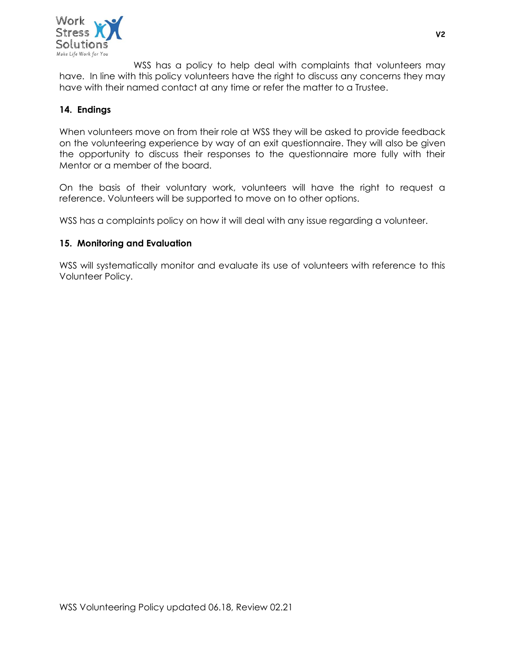

WSS has a policy to help deal with complaints that volunteers may have. In line with this policy volunteers have the right to discuss any concerns they may have with their named contact at any time or refer the matter to a Trustee.

### **14. Endings**

When volunteers move on from their role at WSS they will be asked to provide feedback on the volunteering experience by way of an exit questionnaire. They will also be given the opportunity to discuss their responses to the questionnaire more fully with their Mentor or a member of the board.

On the basis of their voluntary work, volunteers will have the right to request a reference. Volunteers will be supported to move on to other options.

WSS has a complaints policy on how it will deal with any issue regarding a volunteer.

#### **15. Monitoring and Evaluation**

WSS will systematically monitor and evaluate its use of volunteers with reference to this Volunteer Policy.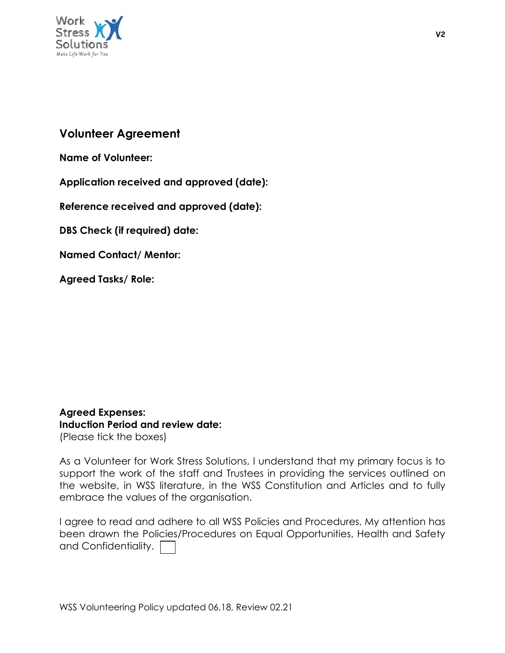

# **Volunteer Agreement**

**Name of Volunteer:**

**Application received and approved (date):**

**Reference received and approved (date):**

**DBS Check (if required) date:**

**Named Contact/ Mentor:**

**Agreed Tasks/ Role:**

**Agreed Expenses: Induction Period and review date:** (Please tick the boxes)

As a Volunteer for Work Stress Solutions, I understand that my primary focus is to support the work of the staff and Trustees in providing the services outlined on the website, in WSS literature, in the WSS Constitution and Articles and to fully embrace the values of the organisation.

I agree to read and adhere to all WSS Policies and Procedures. My attention has been drawn the Policies/Procedures on Equal Opportunities, Health and Safety and Confidentiality.  $\Box$